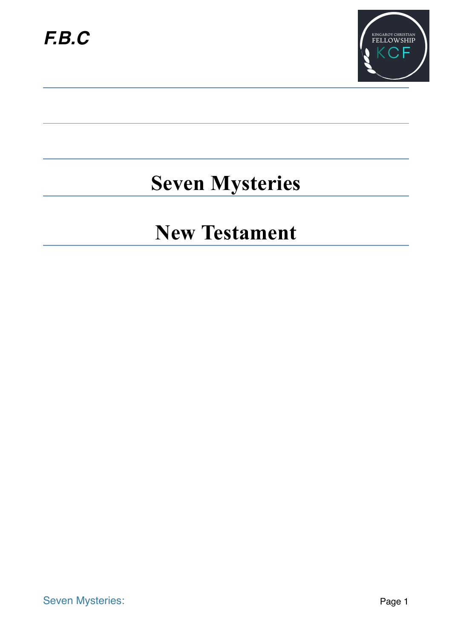

## **Seven Mysteries**

### **New Testament**

Seven Mysteries: Page 1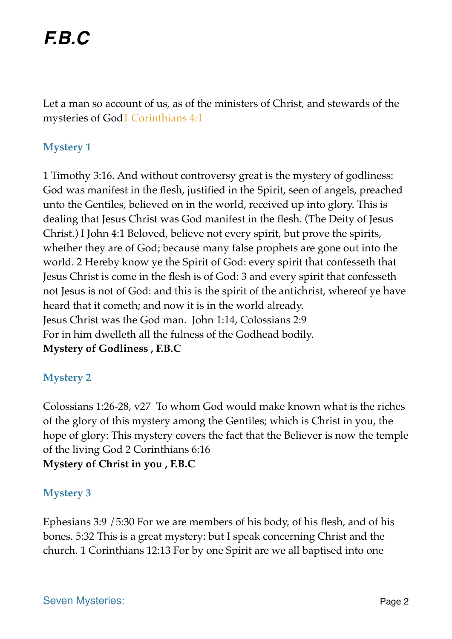Let a man so account of us, as of the ministers of Christ, and stewards of the mysteries of God1 Corinthians 4:1

#### **Mystery 1**

1 Timothy 3:16. And without controversy great is the mystery of godliness: God was manifest in the flesh, justified in the Spirit, seen of angels, preached unto the Gentiles, believed on in the world, received up into glory. This is dealing that Jesus Christ was God manifest in the flesh. (The Deity of Jesus Christ.) I John 4:1 Beloved, believe not every spirit, but prove the spirits, whether they are of God; because many false prophets are gone out into the world. 2 Hereby know ye the Spirit of God: every spirit that confesseth that Jesus Christ is come in the flesh is of God: 3 and every spirit that confesseth not Jesus is not of God: and this is the spirit of the antichrist, whereof ye have heard that it cometh; and now it is in the world already. Jesus Christ was the God man. John 1:14, Colossians 2:9 For in him dwelleth all the fulness of the Godhead bodily. **Mystery of Godliness , F.B.C**

#### **Mystery 2**

Colossians 1:26-28, v27 To whom God would make known what is the riches of the glory of this mystery among the Gentiles; which is Christ in you, the hope of glory: This mystery covers the fact that the Believer is now the temple of the living God 2 Corinthians 6:16 **Mystery of Christ in you , F.B.C**

#### **Mystery 3**

Ephesians 3:9 /5:30 For we are members of his body, of his flesh, and of his bones. 5:32 This is a great mystery: but I speak concerning Christ and the church. 1 Corinthians 12:13 For by one Spirit are we all baptised into one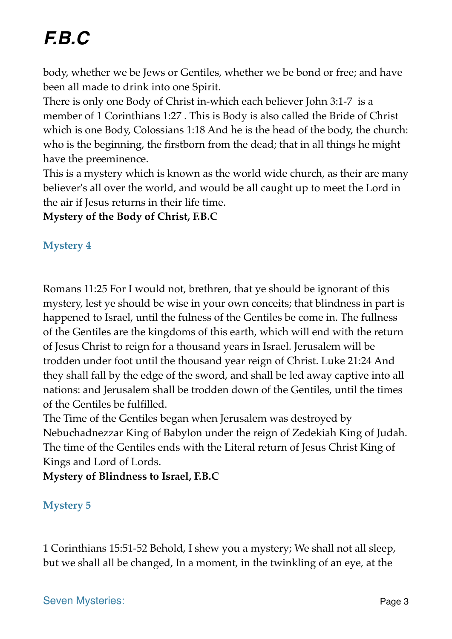# *F.B.C*

body, whether we be Jews or Gentiles, whether we be bond or free; and have been all made to drink into one Spirit.

There is only one Body of Christ in-which each believer John 3:1-7 is a member of 1 Corinthians 1:27 . This is Body is also called the Bride of Christ which is one Body, Colossians 1:18 And he is the head of the body, the church: who is the beginning, the firstborn from the dead; that in all things he might have the preeminence.

This is a mystery which is known as the world wide church, as their are many believer's all over the world, and would be all caught up to meet the Lord in the air if Jesus returns in their life time.

**Mystery of the Body of Christ, F.B.C**

#### **Mystery 4**

Romans 11:25 For I would not, brethren, that ye should be ignorant of this mystery, lest ye should be wise in your own conceits; that blindness in part is happened to Israel, until the fulness of the Gentiles be come in. The fullness of the Gentiles are the kingdoms of this earth, which will end with the return of Jesus Christ to reign for a thousand years in Israel. Jerusalem will be trodden under foot until the thousand year reign of Christ. Luke 21:24 And they shall fall by the edge of the sword, and shall be led away captive into all nations: and Jerusalem shall be trodden down of the Gentiles, until the times of the Gentiles be fulfilled.

The Time of the Gentiles began when Jerusalem was destroyed by Nebuchadnezzar King of Babylon under the reign of Zedekiah King of Judah. The time of the Gentiles ends with the Literal return of Jesus Christ King of Kings and Lord of Lords.

**Mystery of Blindness to Israel, F.B.C**

#### **Mystery 5**

1 Corinthians 15:51-52 Behold, I shew you a mystery; We shall not all sleep, but we shall all be changed, In a moment, in the twinkling of an eye, at the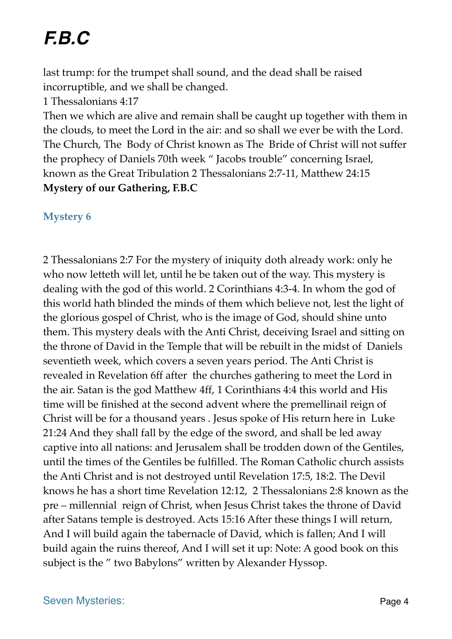# *F.B.C*

last trump: for the trumpet shall sound, and the dead shall be raised incorruptible, and we shall be changed.

1 Thessalonians 4:17

Then we which are alive and remain shall be caught up together with them in the clouds, to meet the Lord in the air: and so shall we ever be with the Lord. The Church, The Body of Christ known as The Bride of Christ will not suffer the prophecy of Daniels 70th week " Jacobs trouble" concerning Israel, known as the Great Tribulation 2 Thessalonians 2:7-11, Matthew 24:15 **Mystery of our Gathering, F.B.C**

#### **Mystery 6**

2 Thessalonians 2:7 For the mystery of iniquity doth already work: only he who now letteth will let, until he be taken out of the way. This mystery is dealing with the god of this world. 2 Corinthians 4:3-4. In whom the god of this world hath blinded the minds of them which believe not, lest the light of the glorious gospel of Christ, who is the image of God, should shine unto them. This mystery deals with the Anti Christ, deceiving Israel and sitting on the throne of David in the Temple that will be rebuilt in the midst of Daniels seventieth week, which covers a seven years period. The Anti Christ is revealed in Revelation 6ff after the churches gathering to meet the Lord in the air. Satan is the god Matthew 4ff, 1 Corinthians 4:4 this world and His time will be finished at the second advent where the premellinail reign of Christ will be for a thousand years . Jesus spoke of His return here in Luke 21:24 And they shall fall by the edge of the sword, and shall be led away captive into all nations: and Jerusalem shall be trodden down of the Gentiles, until the times of the Gentiles be fulfilled. The Roman Catholic church assists the Anti Christ and is not destroyed until Revelation 17:5, 18:2. The Devil knows he has a short time Revelation 12:12, 2 Thessalonians 2:8 known as the pre – millennial reign of Christ, when Jesus Christ takes the throne of David after Satans temple is destroyed. Acts 15:16 After these things I will return, And I will build again the tabernacle of David, which is fallen; And I will build again the ruins thereof, And I will set it up: Note: A good book on this subject is the " two Babylons" written by Alexander Hyssop.